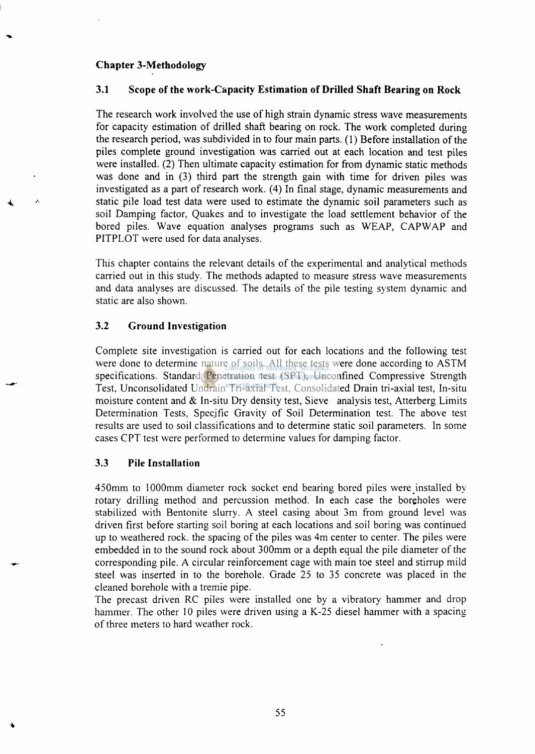## **Chapter** 3**-Methodology**

ż

## 3**.1 Scope of the work-Capacity Estimation of Drilled Shaft Bearing on Rock**

The research work involved the use of high strain dynamic stress wave measurements for capacity estimation of drilled shaft bearing on rock. The work completed during the research period, was subdivided in to four main parts. (1) Before installation of the piles complete ground investigation was carried out at each location and test piles were installed. (2) Then ultimate capacity estimation for from dynamic static methods was done and in (3) third part the strength gain with time for driven piles was investigated as a part of research work. (4) In final stage, dynamic measurements and static pile load test data were used to estimate the dynamic soil parameters such as soil Damping factor, Quakes and to investigate the load settlement behavior of the bored piles. Wave equation analyses programs such as WEAP, CAPWAP and PITPLOT were used for data analyses.

This chapter contains the relevant details of the experimental and analytical methods carried out in this study. The methods adapted to measure stress wave measurements and data analyses are discussed. The details of the pile testing system dynamic and static are also shown.

### 3.2 **Ground Investigation**

Complete site investigation is carried out for each locations and the following test were done to determine nature of soils. All these tests were done according to ASTM specifications. Standard Penetration test (SPT), Unconfined Compressive Strength Test, Unconsolidated Undrain Tri-axial Test, Consolidated Drain tri-axial test, In-situ moisture content and & In-situ Dry density test, Sieve analysis test, Atterberg Limits Determination Tests, Specific Gravity of Soil Determination test. The above test results are used to soil classifications and to determine static soil parameters. In some cases CPT test were performed to determine values for damping factor.

### 3.3 **Pile Installation**

450mm to 1000mm diameter rock socket end bearing bored piles were installed by rotary drilling method and percussion method. In each case the boreholes were stabilized with Bentonite slurry. A steel casing about 3m from ground level was driven first before starting soil boring at each locations and soil boring was continued up to weathered rock, the spacing of the piles was 4m center to center. The piles were embedded in to the sound rock about 300mm or a depth equal the pile diameter of the corresponding pile. A circular reinforcement cage with main toe steel and stirrup mild steel was inserted in to the borehole. Grade 25 to 35 concrete was placed in the cleaned borehole with a tremie pipe.

The precast driven RC piles were installed one by a vibratory hammer and drop hammer. The other 10 piles were driven using a K-25 diesel hammer with a spacing of three meters to hard weather rock.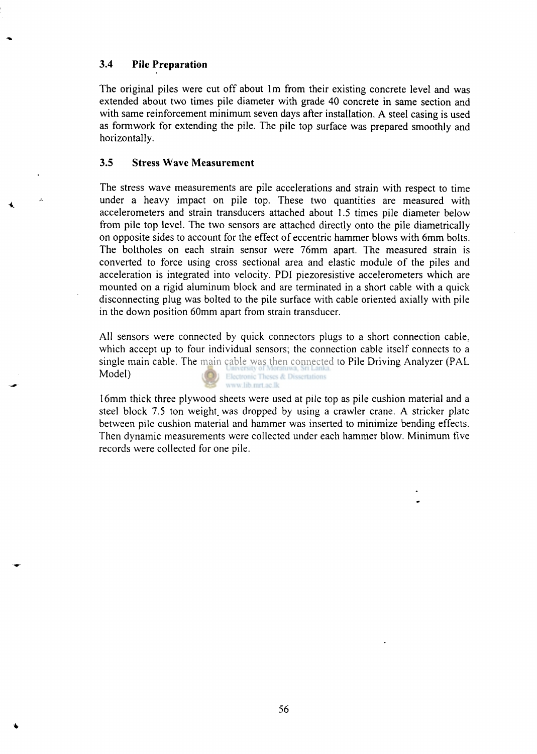### **3.4 Pile Preparation**

A.

The original piles were cut off about 1m from their existing concrete level and was extended about two times pile diameter with grade 40 concrete in same section and with same reinforcement minimum seven days after installation. A steel casing is used as formwork for extending the pile. The pile top surface was prepared smoothly and horizontally.

### **3.5 Stress Wave Measurement**

The stress wave measurements are pile accelerations and strain with respect to time under a heavy impact on pile top. These two quantities are measured with accelerometers and strain transducers attached about 1.5 times pile diameter below from pile top level. The two sensors are attached directly onto the pile diametrically on opposite sides to account for the effect of eccentric hammer blows with 6mm bolts. The boltholes on each strain sensor were 76mm apart. The measured strain is converted to force using cross sectional area and elastic module of the piles and acceleration is integrated into velocity. PDI piezoresistive accelerometers which are mounted on a rigid aluminum block and are terminated in a short cable with a quick disconnecting plug was bolted to the pile surface with cable oriented axially with pile in the down position 60mm apart from strain transducer.

All sensors were connected by quick connectors plugs to a short connection cable, which accept up to four individual sensors; the connection cable itself connects to a single main cable. The main cable was then connected to Pile Driving Analyzer (PAL Model) Electronic Theses & Dissertations www.lib.mrt.ac.lk

16mm thick three plywood sheets were used at pile top as pile cushion material and a steel block 7.5 ton weight was dropped by using a crawler crane. A stricker plate between pile cushion material and hammer was inserted to minimize bending effects. Then dynamic measurements were collected under each hammer blow. Minimum five records were collected for one pile.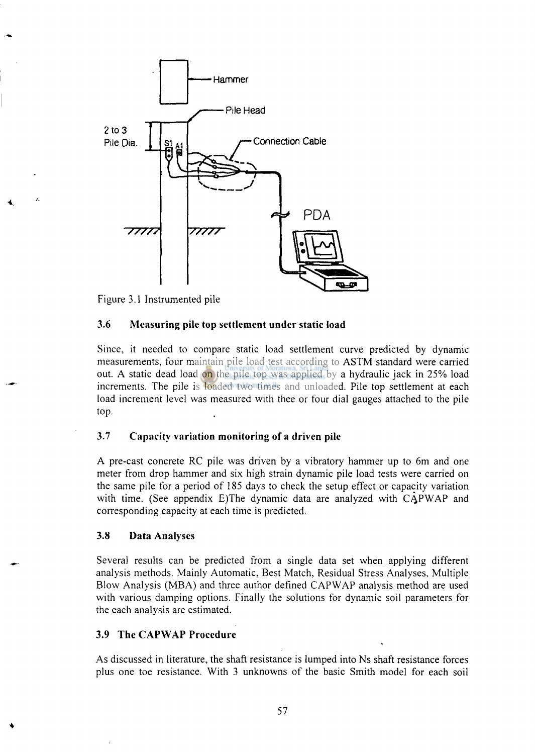

Figure 3.1 Instrumented pile

#### **3.6 Measuring pile top settlement under static load**

Since, it needed to compare static load settlement curve predicted by dynamic measurements, four maintain pile load test according to ASTM standard were carried out. A static dead load on the pile top was applied by a hydraulic jack in 25% load increments. The pile is loaded two times and unloaded. Pile top settlement at each load increment level was measured with thee or four dial gauges attached to the pile top.

### **3**.7 **Capacity variation monitoring of a driven pile**

A pre-cast concrete RC pile was driven by a vibratory hammer up to 6m and one meter from drop hammer and six high strain dynamic pile load tests were carried on the same pile for a period of 185 days to check the setup effect or capacity variation with time. (See appendix E)The dynamic data are analyzed with CAPWAP and corresponding capacity at each time is predicted.

#### **3.8 Data Analyses**

Several results can be predicted from a single data set when applying different analysis methods. Mainly Automatic, Best Match, Residual Stress Analyses, Multiple Blow Analysis (MBA) and three author defined CAPWAP analysis method are used with various damping options. Finally the solutions for dynamic soil parameters for the each analysis are estimated.

#### **3.9 The CAPWAP Procedure**

As discussed in literature, the shaft resistance is lumped into Ns shaft resistance forces plus one toe resistance. With 3 unknowns of the basic Smith model for each soil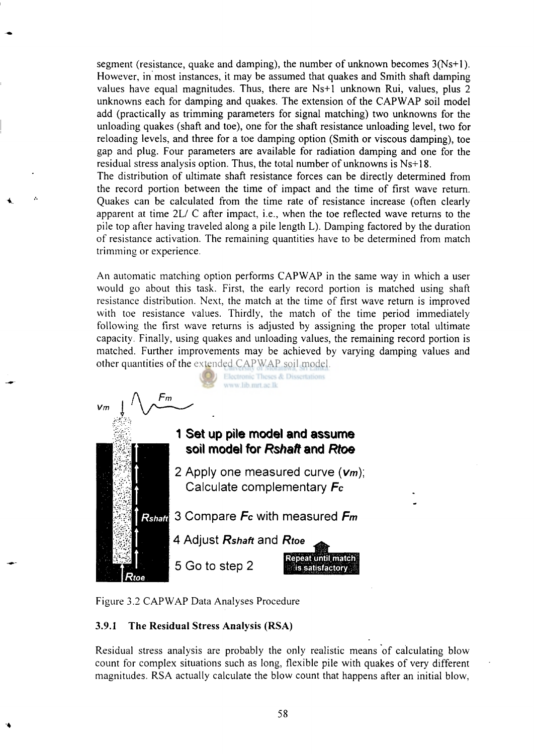segment (resistance, quake and damping), the number of unknown becomes 3(Ns+l). However, in most instances, it may be assumed that quakes and Smith shaft damping values have equal magnitudes. Thus, there are Ns+1 unknown Rui, values, plus 2 unknowns each for damping and quakes. The extension of the CAPWAP soil model add (practically as trimming parameters for signal matching) two unknowns for the unloading quakes (shaft and toe), one for the shaft resistance unloading level, two for reloading levels, and three for a toe damping option (Smith or viscous damping), toe gap and plug. Four parameters are available for radiation damping and one for the residual stress analysis option. Thus, the total number of unknowns is Ns+18.

The distribution of ultimate shaft resistance forces can be directly determined from the record portion between the time of impact and the time of first wave return. Quakes can be calculated from the time rate of resistance increase (often clearly apparent at time 2L/ C after impact, i.e., when the toe reflected wave returns to the pile top after having traveled along a pile length L). Damping factored by the duration of resistance activation. The remaining quantities have to be determined from match trimming or experience.

An automatic matching option performs CAPWAP in the same way in which a user would go about this task. First, the early record portion is matched using shaft resistance distribution. Next, the match at the time of first wave return is improved with toe resistance values. Thirdly, the match of the time period immediately following the first wave returns is adjusted by assigning the proper total ultimate capacity. Finally, using quakes and unloading values, the remaining record portion is matched. Further improvements may be achieved by varying damping values and other quantities of the extended CAPWAP soil model.



Figure 3.2 CAPWAP Data Analyses Procedure

# **3.9.1 The Residual Stress Analysis (RSA)**

Residual stress analysis are probably the only realistic means of calculating blowcount for complex situations such as long, flexible pile with quakes of very different magnitudes. RSA actually calculate the blow count that happens after an initial blow,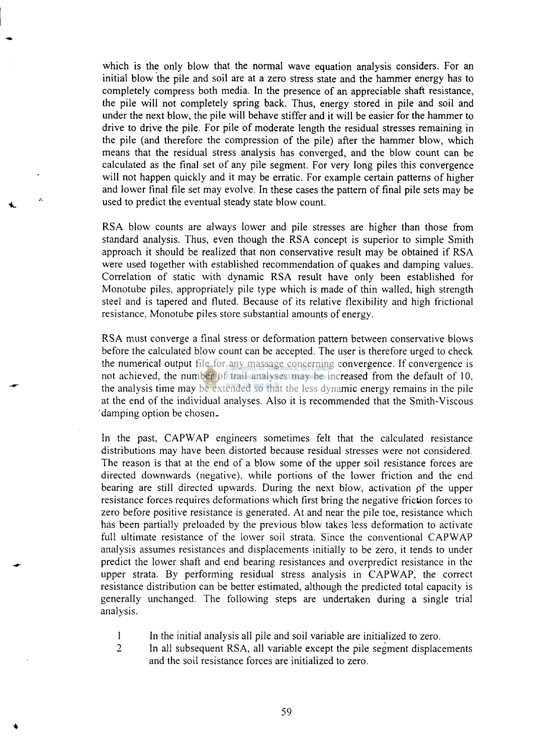which is the only blow that the normal wave equation analysis considers. For an initial blow the pile and soil are at a zero stress state and the hammer energy has to completely compress both media. In the presence of an appreciable shaft resistance, the pile will not completely spring back. Thus, energy stored in pile and soil and under the next blow, the pile will behave stiffer and it will be easier for the hammer to drive to drive the pile. For pile of moderate length the residual stresses remaining in the pile (and therefore the compression of the pile) after the hammer blow, which means that the residual stress analysis has converged, and the blow count can be calculated as the final set of any pile segment. For very long piles this convergence will not happen quickly and it may be erratic. For example certain patterns of higher and lower final file set may evolve. In these cases the pattern of final pile sets may be used to predict the eventual steady state blow count.

 $\mathbf{z}$ 

RSA blow counts are always lower and pile stresses are higher than those from standard analysis. Thus, even though the RSA concept is superior to simple Smith approach it should be realized that non conservative result may be obtained if RSA were used together with established recommendation of quakes and damping values. Correlation of static with dynamic RSA result have only been established for Monotube piles, appropriately pile type which is made of thin walled, high strength steel and is tapered and fluted. Because of its relative flexibility and high frictional resistance, Monotube piles store substantial amounts of energy.

RSA must converge a final stress or deformation pattern between conservative blows before the calculated blow count can be accepted. The user is therefore urged to check the numerical output file for any massage concerning convergence. If convergence is not achieved, the number of trail analyses may be increased from the default of 10. the analysis time may be extended so that the less dynamic energy remains in the pile at the end of the individual analyses. Also it is recommended that the Smith-Viscous 'damping option be chosen.

In the past, CAPWAP engineers sometimes felt that the calculated resistance distributions may have been distorted because residual stresses were not considered. The reason is that at the end of a blow some of the upper soil resistance forces are directed downwards (negative), while portions of the lower friction and the end bearing are still directed upwards. During the next blow, activation of the upper resistance forces requires deformations which first bring the negative friction forces to zero before positive resistance is generated. At and near the pile toe, resistance which has been partially preloaded by the previous blow takes less deformation to activate full ultimate resistance of the lower soil strata. Since the conventional CAPWAP analysis assumes resistances and displacements initially to be zero, it tends to under predict the lower shaft and end bearing resistances and overpredict resistance in the upper strata. By performing residual stress analysis in CAPWAP, the correct resistance distribution can be better estimated, although the predicted total capacity is generally unchanged. The following steps are undertaken during a single trial analysis.

- 1 In the initial analysis all pile and soil variable are initialized to zero.
- **2** In all subsequent RSA, all variable except the pile segment displacements and the soil resistance forces are initialized to zero.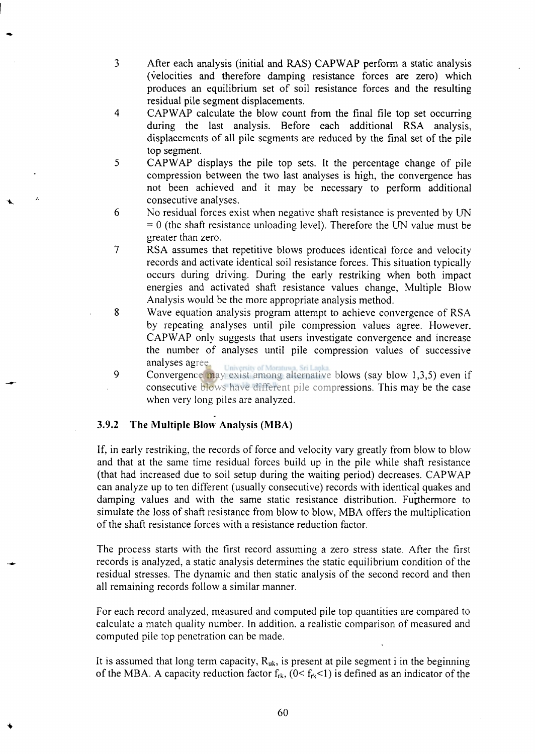- 3 After each analysis (initial and RAS) CAPWAP perform a static analysis (velocities and therefore damping resistance forces are zero) which produces an equilibrium set of soil resistance forces and the resulting residual pile segment displacements.
- 4 CAPWAP calculate the blow count from the final file top set occurring during the last analysis. Before each additional RSA analysis, displacements of all pile segments are reduced by the final set of the pile top segment.
- 5 CAPWAP displays the pile top sets. It the percentage change of pile compression between the two last analyses is high, the convergence has not been achieved and it may be necessary to perform additional consecutive analyses.
- 6 No residual forces exist when negative shaft resistance is prevented by UN  $= 0$  (the shaft resistance unloading level). Therefore the UN value must be greater than zero.
- 7 RSA assumes that repetitive blows produces identical force and velocity records and activate identical soil resistance forces. This situation typically occurs during driving. During the early restriking when both impact energies and activated shaft resistance values change, Multiple Blow Analysis would be the more appropriate analysis method.
- 8 Wave equation analysis program attempt to achieve convergence of RSA by repeating analyses until pile compression values agree. However, CAPWAP only suggests that users investigate convergence and increase the number of analyses until pile compression values of successive analyses agree.
- analyses agree.<br>9 Convergence may exist among alternative blows (say blow 1,3,5) even if consecutive blows have different pile compressions. This may be the case when very long piles are analyzed.

### **3.9.2 The Multiple Blow Analysis (MBA)**

If, in early restriking, the records of force and velocity vary greatly from blow to blow and that at the same time residual forces build up in the pile while shaft resistance (that had increased due to soil setup during the waiting period) decreases. CAPWAP can analyze up to ten different (usually consecutive) records with identical quakes and damping values and with the same static resistance distribution. Furthermore to simulate the loss of shaft resistance from blow to blow, MBA offers the multiplication of the shaft resistance forces with a resistance reduction factor.

The process starts with the first record assuming a zero stress state. After the first records is analyzed, a static analysis determines the static equilibrium condition of the residual stresses. The dynamic and then static analysis of the second record and then all remaining records follow a similar manner.

For each record analyzed, measured and computed pile top quantities are compared to calculate a match quality number. In addition, a realistic comparison of measured and computed pile top penetration can be made.

It is assumed that long term capacity,  $R_{uk}$ , is present at pile segment i in the beginning of the MBA. A capacity reduction factor  $f_{rk}$ , ( $0 < f_{rk}$ <1) is defined as an indicator of the

60